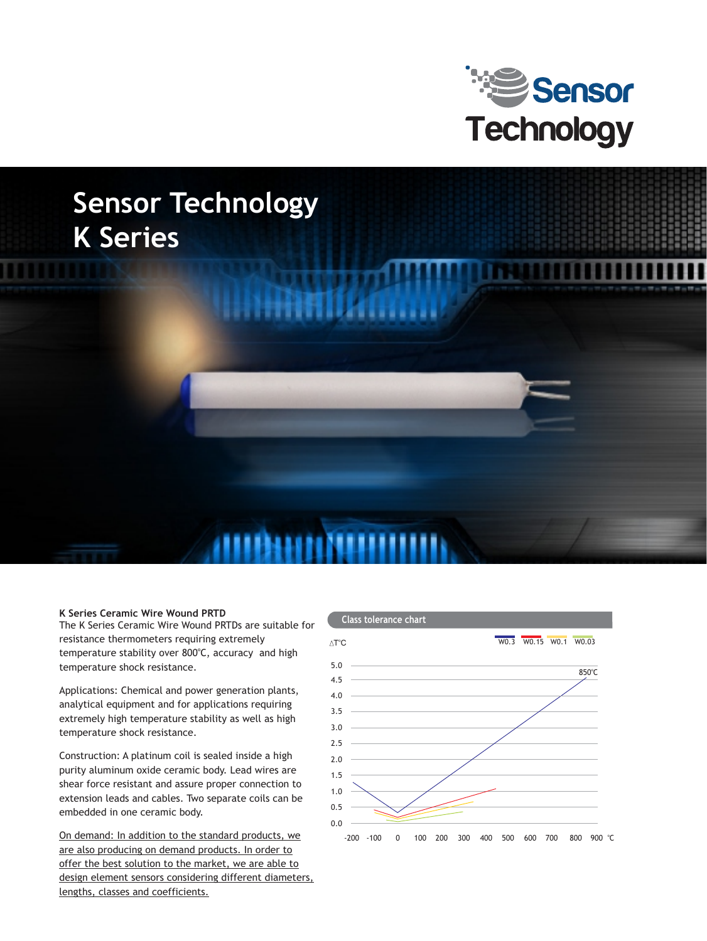

# **Sensor Technology K Series**

#### **K Series Ceramic Wire Wound PRTD**

The K Series Ceramic Wire Wound PRTDs are suitable for resistance thermometers requiring extremely temperature stability over 800°C, accuracy and high temperature shock resistance.

Applications: Chemical and power generation plants, analytical equipment and for applications requiring extremely high temperature stability as well as high temperature shock resistance.

Construction: A platinum coil is sealed inside a high purity aluminum oxide ceramic body. Lead wires are shear force resistant and assure proper connection to extension leads and cables. Two separate coils can be embedded in one ceramic body.

On demand: In addition to the standard products, we are also producing on demand products. In order to offer the best solution to the market, we are able to design element sensors considering different diameters, lengths, classes and coefficients.

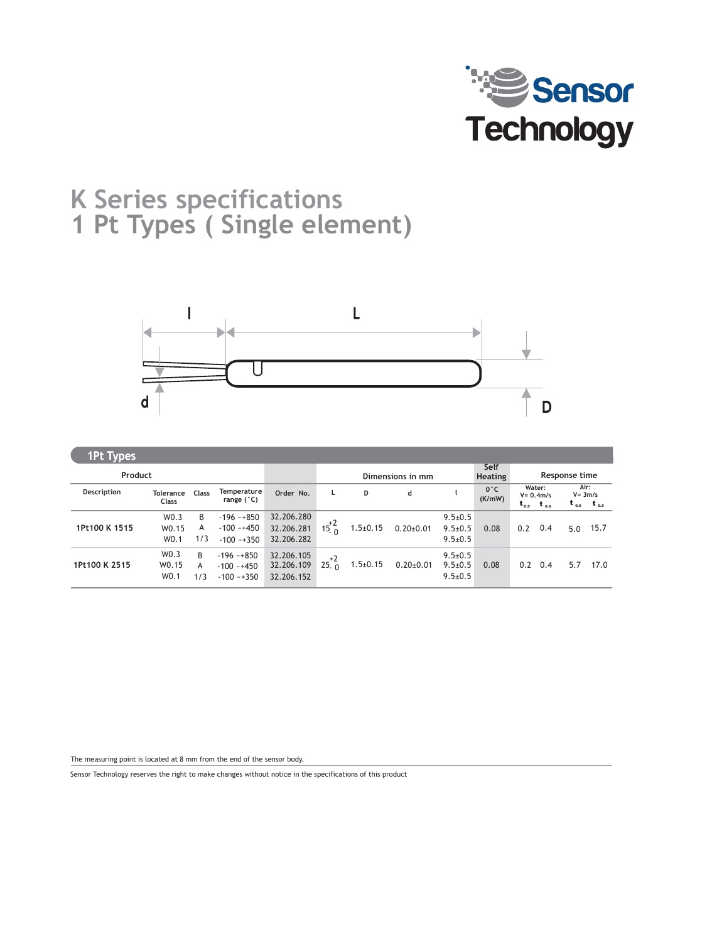

## **K Series specifications 1 Pt Types ( Single element)**



| <b>1Pt Types</b> |                                   |               |                                                 |                                        |                  |                |                 |                                                 |                         |               |                                      |                    |                     |
|------------------|-----------------------------------|---------------|-------------------------------------------------|----------------------------------------|------------------|----------------|-----------------|-------------------------------------------------|-------------------------|---------------|--------------------------------------|--------------------|---------------------|
| Product          |                                   |               |                                                 |                                        | Dimensions in mm |                |                 |                                                 | Self<br><b>Heating</b>  | Response time |                                      |                    |                     |
| Description      | <b>Tolerance</b><br><b>Class</b>  | Class         | <b>Temperature</b><br>range $(^{\circ}C)$       | Order No.                              | L                | D              | d               |                                                 | $0^{\circ}$ C<br>(K/mW) | $t_{o,s}$     | Water:<br>$V = 0.4 m/s$<br>$t_{0.9}$ | Air:<br>$V = 3m/s$ | $t_{0.5}$ $t_{0.9}$ |
| 1Pt100 K 1515    | W0.3<br>W0.15<br>W <sub>0.1</sub> | B<br>A<br>1/3 | $-196 - +850$<br>$-100 - +450$<br>$-100 - +350$ | 32.206.280<br>32.206.281<br>32.206.282 | $15^{+2}_{0}$    | $1.5 \pm 0.15$ | $0.20 \pm 0.01$ | $9.5 \pm 0.5$<br>$9.5 \pm 0.5$<br>$9.5 \pm 0.5$ | 0.08                    | 0.2           | 0.4                                  | 5.0                | 15.7                |
| 1Pt100 K 2515    | W0.3<br>W0.15<br>W0.1             | B<br>A<br>1/3 | $-196 - +850$<br>$-100 - +450$<br>$-100 - +350$ | 32.206.105<br>32.206.109<br>32.206.152 | $+2$<br>25. n    | $1.5 \pm 0.15$ | $0.20 \pm 0.01$ | $9.5 \pm 0.5$<br>$9.5 \pm 0.5$<br>$9.5 \pm 0.5$ | 0.08                    | 0.2           | 0.4                                  | 5.7                | 17.0                |

The measuring point is located at 8 mm from the end of the sensor body.

Sensor Technology reserves the right to make changes without notice in the specifications of this product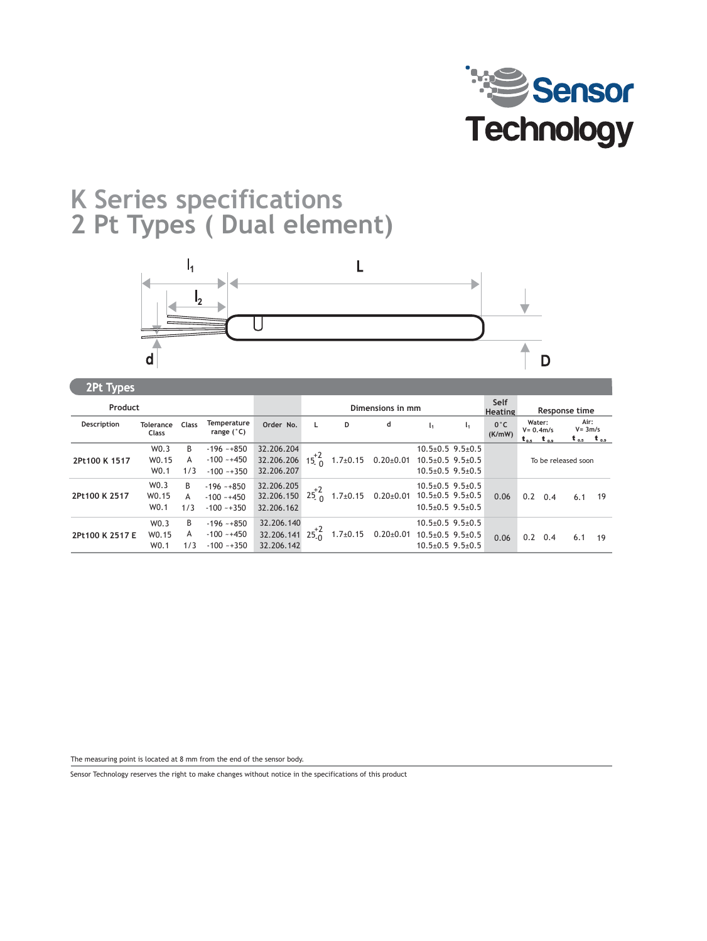

### **K Series specifications 2 Pt Types ( Dual element)**



| $\mathbf{a}$ c types |                                               |               |                                                 |                                        |                |                  |                             |                                                                                              |                |                         |                             |               |                                           |    |
|----------------------|-----------------------------------------------|---------------|-------------------------------------------------|----------------------------------------|----------------|------------------|-----------------------------|----------------------------------------------------------------------------------------------|----------------|-------------------------|-----------------------------|---------------|-------------------------------------------|----|
| Product              |                                               |               |                                                 |                                        |                | Dimensions in mm |                             |                                                                                              |                |                         | Response time               |               |                                           |    |
| Description          | Tolerance<br><b>Class</b>                     | Class         | Temperature<br>range $(^{\circ}C)$              | Order No.                              | L.             | D                | d                           | l1.                                                                                          | $\mathsf{I}_1$ | $0^{\circ}$ C<br>(K/mW) | Water:<br>$t_{os}$ $t_{os}$ | $V = 0.4$ m/s | Air:<br>$V = 3m/s$<br>$t_{0.5}$ $t_{0.9}$ |    |
| 2Pt100 K 1517        | W0.3<br>W0.15<br>W0.1                         | B<br>Α<br>1/3 | $-196 - +850$<br>$-100 - +450$<br>$-100 - +350$ | 32.206.204<br>32.206.206<br>32.206.207 | $15^{+2}_{-0}$ | $1.7 \pm 0.15$   | $0.20{\pm}0.01$             | $10.5 \pm 0.5$ 9.5 $\pm 0.5$<br>$10.5 \pm 0.5$ 9.5 $\pm 0.5$<br>$10.5 \pm 0.5$ 9.5 $\pm 0.5$ |                |                         |                             |               | To be released soon                       |    |
| 2Pt100 K 2517        | W <sub>0.3</sub><br>W0.15<br>W0.1             | B<br>A<br>1/3 | $-196 - +850$<br>$-100 - +450$<br>$-100 - +350$ | 32.206.205<br>32.206.150<br>32.206.162 | 25n            |                  | $1.7\pm0.15$ 0.20 $\pm0.01$ | $10.5 \pm 0.5$ 9.5 $\pm 0.5$<br>$10.5 \pm 0.5$ 9.5 $\pm 0.5$<br>$10.5 \pm 0.5$ 9.5 $\pm 0.5$ |                | 0.06                    | 0.2                         | 0.4           | 6.1                                       | 19 |
| 2Pt100 K 2517 E      | W <sub>0.3</sub><br>W0.15<br>W <sub>0.1</sub> | B<br>A<br>1/3 | $-196 - +850$<br>$-100 - +450$<br>$-100 - +350$ | 32.206.140<br>32.206.141<br>32.206.142 | $25^{+2}_{-0}$ | $1.7 \pm 0.15$   | $0.20{\pm}0.01$             | $10.5 \pm 0.5$ 9.5 $\pm 0.5$<br>$10.5 \pm 0.5$ 9.5 $\pm 0.5$<br>$10.5 + 0.5$ 9.5 + 0.5       |                | 0.06                    | 0.2                         | 0.4           | 6.1                                       | 19 |

The measuring point is located at 8 mm from the end of the sensor body.

Sensor Technology reserves the right to make changes without notice in the specifications of this product